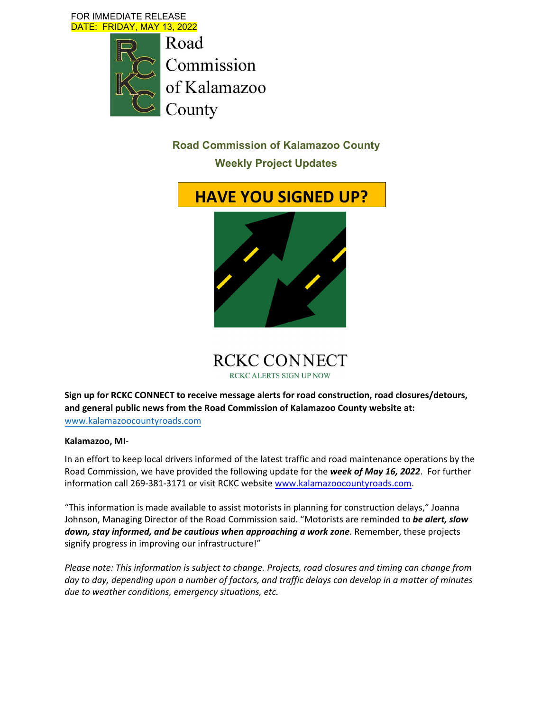FOR IMMEDIATE RELEASE DATE: FRIDAY, MAY 13, 2022



**Road Commission of Kalamazoo County** 

**Weekly Project Updates** 





**Sign up for RCKC CONNECT to receive message alerts for road construction, road closures/detours, and general public news from the Road Commission of Kalamazoo County website at:** www.kalamazoocountyroads.com

#### **Kalamazoo, MI**‐

In an effort to keep local drivers informed of the latest traffic and road maintenance operations by the Road Commission, we have provided the following update for the *week of May 16, 2022*. For further information call 269‐381‐3171 or visit RCKC website www.kalamazoocountyroads.com.

"This information is made available to assist motorists in planning for construction delays," Joanna Johnson, Managing Director of the Road Commission said. "Motorists are reminded to *be alert, slow down, stay informed, and be cautious when approaching a work zone*. Remember, these projects signify progress in improving our infrastructure!"

*Please note: This information is subject to change. Projects, road closures and timing can change from* day to day, depending upon a number of factors, and traffic delays can develop in a matter of minutes *due to weather conditions, emergency situations, etc.*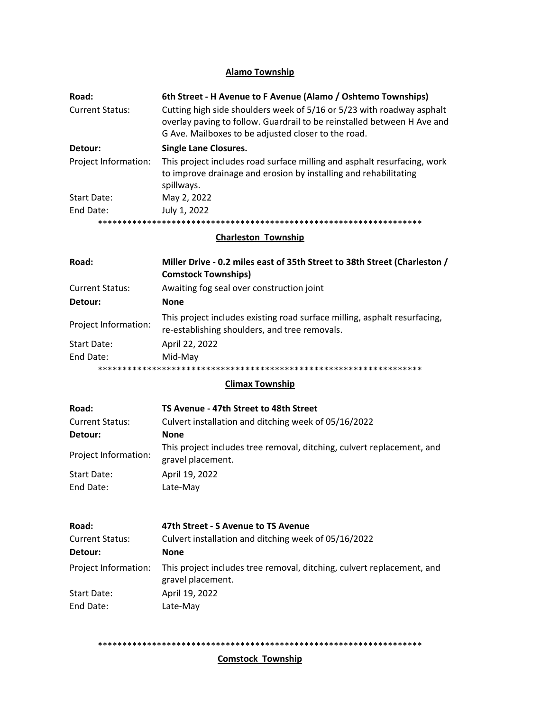# **Alamo Township**

| Road:<br><b>Current Status:</b> | 6th Street - H Avenue to F Avenue (Alamo / Oshtemo Townships)<br>Cutting high side shoulders week of 5/16 or 5/23 with roadway asphalt<br>overlay paving to follow. Guardrail to be reinstalled between H Ave and<br>G Ave. Mailboxes to be adjusted closer to the road. |
|---------------------------------|--------------------------------------------------------------------------------------------------------------------------------------------------------------------------------------------------------------------------------------------------------------------------|
| Detour:                         | <b>Single Lane Closures.</b>                                                                                                                                                                                                                                             |
| Project Information:            | This project includes road surface milling and asphalt resurfacing, work<br>to improve drainage and erosion by installing and rehabilitating<br>spillways.                                                                                                               |
| Start Date:                     | May 2, 2022                                                                                                                                                                                                                                                              |
| End Date:                       | July 1, 2022                                                                                                                                                                                                                                                             |
|                                 |                                                                                                                                                                                                                                                                          |

**Charleston Township**

| Road:                  | Miller Drive - 0.2 miles east of 35th Street to 38th Street (Charleston /                                                  |
|------------------------|----------------------------------------------------------------------------------------------------------------------------|
|                        | <b>Comstock Townships)</b>                                                                                                 |
| <b>Current Status:</b> | Awaiting fog seal over construction joint                                                                                  |
| Detour:                | <b>None</b>                                                                                                                |
| Project Information:   | This project includes existing road surface milling, asphalt resurfacing,<br>re-establishing shoulders, and tree removals. |
| Start Date:            | April 22, 2022                                                                                                             |
| End Date:              | Mid-May                                                                                                                    |
|                        |                                                                                                                            |

# **Climax Township**

| Road:                  | TS Avenue - 47th Street to 48th Street                                                      |
|------------------------|---------------------------------------------------------------------------------------------|
| <b>Current Status:</b> | Culvert installation and ditching week of 05/16/2022                                        |
| Detour:                | <b>None</b>                                                                                 |
| Project Information:   | This project includes tree removal, ditching, culvert replacement, and<br>gravel placement. |
| Start Date:            | April 19, 2022                                                                              |
| End Date:              | Late-May                                                                                    |

| Road:                  | 47th Street - S Avenue to TS Avenue                                                         |
|------------------------|---------------------------------------------------------------------------------------------|
| <b>Current Status:</b> | Culvert installation and ditching week of 05/16/2022                                        |
| Detour:                | <b>None</b>                                                                                 |
| Project Information:   | This project includes tree removal, ditching, culvert replacement, and<br>gravel placement. |
| Start Date:            | April 19, 2022                                                                              |
| End Date:              | Late-May                                                                                    |

\*\*\*\*\*\*\*\*\*\*\*\*\*\*\*\*\*\*\*\*\*\*\*\*\*\*\*\*\*\*\*\*\*\*\*\*\*\*\*\*\*\*\*\*\*\*\*\*\*\*\*\*\*\*\*\*\*\*\*\*\*\*\*\*\*\*

## **Comstock Township**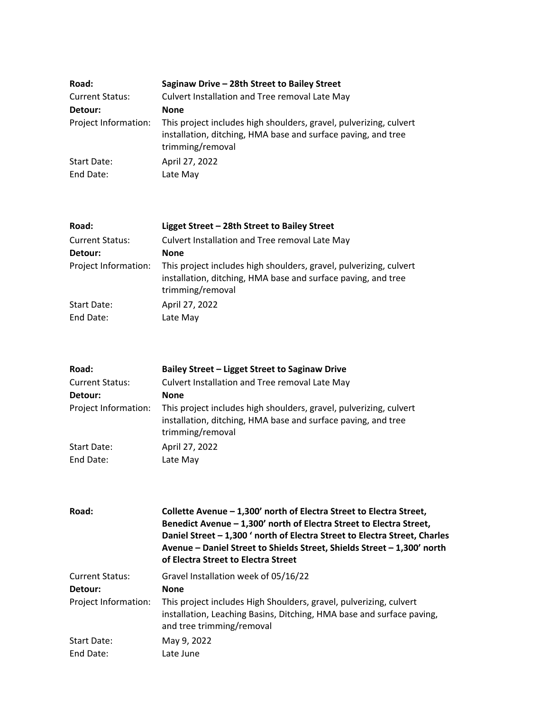| Road:                  | Saginaw Drive - 28th Street to Bailey Street                                                                                                            |
|------------------------|---------------------------------------------------------------------------------------------------------------------------------------------------------|
| <b>Current Status:</b> | Culvert Installation and Tree removal Late May                                                                                                          |
| Detour:                | <b>None</b>                                                                                                                                             |
| Project Information:   | This project includes high shoulders, gravel, pulverizing, culvert<br>installation, ditching, HMA base and surface paving, and tree<br>trimming/removal |
| Start Date:            | April 27, 2022                                                                                                                                          |
| End Date:              | Late May                                                                                                                                                |

| Road:                  | Ligget Street - 28th Street to Bailey Street                                                                                                            |
|------------------------|---------------------------------------------------------------------------------------------------------------------------------------------------------|
| <b>Current Status:</b> | Culvert Installation and Tree removal Late May                                                                                                          |
| Detour:                | <b>None</b>                                                                                                                                             |
| Project Information:   | This project includes high shoulders, gravel, pulverizing, culvert<br>installation, ditching, HMA base and surface paving, and tree<br>trimming/removal |
| Start Date:            | April 27, 2022                                                                                                                                          |
| End Date:              | Late May                                                                                                                                                |

| Road:                  | Bailey Street - Ligget Street to Saginaw Drive                                                                                                          |
|------------------------|---------------------------------------------------------------------------------------------------------------------------------------------------------|
| <b>Current Status:</b> | Culvert Installation and Tree removal Late May                                                                                                          |
| Detour:                | <b>None</b>                                                                                                                                             |
| Project Information:   | This project includes high shoulders, gravel, pulverizing, culvert<br>installation, ditching, HMA base and surface paving, and tree<br>trimming/removal |
| Start Date:            | April 27, 2022                                                                                                                                          |
| End Date:              | Late May                                                                                                                                                |

| Road:                  | Collette Avenue - 1,300' north of Electra Street to Electra Street,<br>Benedict Avenue - 1,300' north of Electra Street to Electra Street,<br>Daniel Street - 1,300 ' north of Electra Street to Electra Street, Charles<br>Avenue - Daniel Street to Shields Street, Shields Street - 1,300' north<br>of Electra Street to Electra Street |
|------------------------|--------------------------------------------------------------------------------------------------------------------------------------------------------------------------------------------------------------------------------------------------------------------------------------------------------------------------------------------|
| <b>Current Status:</b> | Gravel Installation week of 05/16/22                                                                                                                                                                                                                                                                                                       |
| Detour:                | <b>None</b>                                                                                                                                                                                                                                                                                                                                |
| Project Information:   | This project includes High Shoulders, gravel, pulverizing, culvert<br>installation, Leaching Basins, Ditching, HMA base and surface paving,<br>and tree trimming/removal                                                                                                                                                                   |
| <b>Start Date:</b>     | May 9, 2022                                                                                                                                                                                                                                                                                                                                |
| End Date:              | Late June                                                                                                                                                                                                                                                                                                                                  |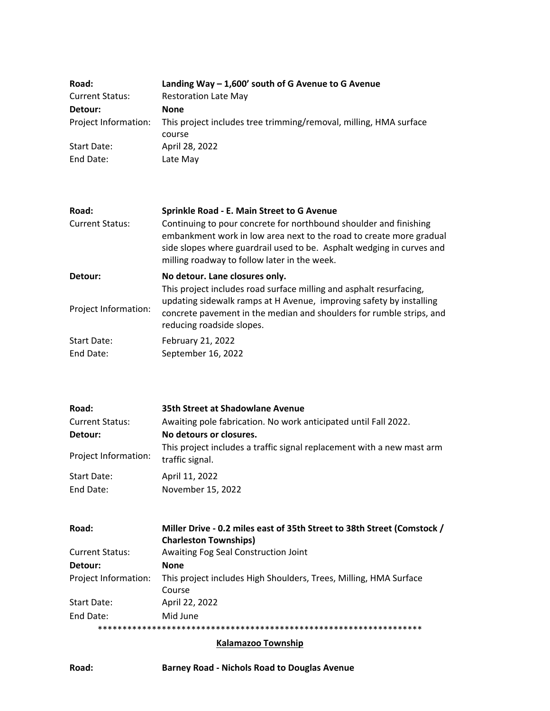| Road:                  | Landing Way $-1,600'$ south of G Avenue to G Avenue                                    |
|------------------------|----------------------------------------------------------------------------------------|
| <b>Current Status:</b> | <b>Restoration Late May</b>                                                            |
| Detour:                | <b>None</b>                                                                            |
|                        | Project Information: This project includes tree trimming/removal, milling, HMA surface |
|                        | course                                                                                 |
| <b>Start Date:</b>     | April 28, 2022                                                                         |
| End Date:              | Late May                                                                               |

| Road:                           | Sprinkle Road - E. Main Street to G Avenue                                                                                                                                                                                                                        |
|---------------------------------|-------------------------------------------------------------------------------------------------------------------------------------------------------------------------------------------------------------------------------------------------------------------|
| <b>Current Status:</b>          | Continuing to pour concrete for northbound shoulder and finishing<br>embankment work in low area next to the road to create more gradual<br>side slopes where guardrail used to be. Asphalt wedging in curves and<br>milling roadway to follow later in the week. |
| Detour:                         | No detour. Lane closures only.                                                                                                                                                                                                                                    |
| Project Information:            | This project includes road surface milling and asphalt resurfacing,<br>updating sidewalk ramps at H Avenue, improving safety by installing<br>concrete pavement in the median and shoulders for rumble strips, and<br>reducing roadside slopes.                   |
| <b>Start Date:</b><br>End Date: | February 21, 2022<br>September 16, 2022                                                                                                                                                                                                                           |

| Road:                  | 35th Street at Shadowlane Avenue                                                          |
|------------------------|-------------------------------------------------------------------------------------------|
| <b>Current Status:</b> | Awaiting pole fabrication. No work anticipated until Fall 2022.                           |
| Detour:                | No detours or closures.                                                                   |
| Project Information:   | This project includes a traffic signal replacement with a new mast arm<br>traffic signal. |
| Start Date:            | April 11, 2022                                                                            |
| End Date:              | November 15, 2022                                                                         |

| Road:                  | Miller Drive - 0.2 miles east of 35th Street to 38th Street (Comstock /<br><b>Charleston Townships)</b> |
|------------------------|---------------------------------------------------------------------------------------------------------|
| <b>Current Status:</b> | Awaiting Fog Seal Construction Joint                                                                    |
| Detour:                | <b>None</b>                                                                                             |
| Project Information:   | This project includes High Shoulders, Trees, Milling, HMA Surface<br>Course                             |
| <b>Start Date:</b>     | April 22, 2022                                                                                          |
| End Date:              | Mid June                                                                                                |
|                        |                                                                                                         |

**Kalamazoo Township**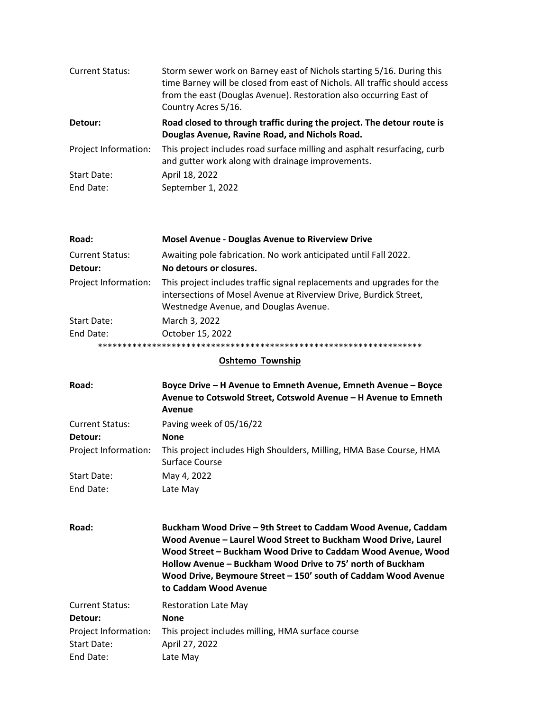| <b>Current Status:</b> | Storm sewer work on Barney east of Nichols starting 5/16. During this<br>time Barney will be closed from east of Nichols. All traffic should access<br>from the east (Douglas Avenue). Restoration also occurring East of<br>Country Acres 5/16. |
|------------------------|--------------------------------------------------------------------------------------------------------------------------------------------------------------------------------------------------------------------------------------------------|
| Detour:                | Road closed to through traffic during the project. The detour route is<br>Douglas Avenue, Ravine Road, and Nichols Road.                                                                                                                         |
| Project Information:   | This project includes road surface milling and asphalt resurfacing, curb<br>and gutter work along with drainage improvements.                                                                                                                    |
| <b>Start Date:</b>     | April 18, 2022                                                                                                                                                                                                                                   |
| End Date:              | September 1, 2022                                                                                                                                                                                                                                |

| Road:                             | <b>Mosel Avenue - Douglas Avenue to Riverview Drive</b>                                                                                                                              |
|-----------------------------------|--------------------------------------------------------------------------------------------------------------------------------------------------------------------------------------|
| <b>Current Status:</b><br>Detour: | Awaiting pole fabrication. No work anticipated until Fall 2022.<br>No detours or closures.                                                                                           |
| Project Information:              | This project includes traffic signal replacements and upgrades for the<br>intersections of Mosel Avenue at Riverview Drive, Burdick Street,<br>Westnedge Avenue, and Douglas Avenue. |
| Start Date:                       | March 3, 2022                                                                                                                                                                        |
| End Date:                         | October 15, 2022                                                                                                                                                                     |
|                                   |                                                                                                                                                                                      |

### **Oshtemo** Township

| Road:                  | Boyce Drive - H Avenue to Emneth Avenue, Emneth Avenue - Boyce<br>Avenue to Cotswold Street, Cotswold Avenue - H Avenue to Emneth<br>Avenue                                                                                                                                                                                                              |
|------------------------|----------------------------------------------------------------------------------------------------------------------------------------------------------------------------------------------------------------------------------------------------------------------------------------------------------------------------------------------------------|
| <b>Current Status:</b> | Paving week of 05/16/22                                                                                                                                                                                                                                                                                                                                  |
| Detour:                | <b>None</b>                                                                                                                                                                                                                                                                                                                                              |
| Project Information:   | This project includes High Shoulders, Milling, HMA Base Course, HMA<br>Surface Course                                                                                                                                                                                                                                                                    |
| Start Date:            | May 4, 2022                                                                                                                                                                                                                                                                                                                                              |
| End Date:              | Late May                                                                                                                                                                                                                                                                                                                                                 |
| Road:                  | Buckham Wood Drive - 9th Street to Caddam Wood Avenue, Caddam<br>Wood Avenue - Laurel Wood Street to Buckham Wood Drive, Laurel<br>Wood Street - Buckham Wood Drive to Caddam Wood Avenue, Wood<br>Hollow Avenue – Buckham Wood Drive to 75' north of Buckham<br>Wood Drive, Beymoure Street - 150' south of Caddam Wood Avenue<br>to Caddam Wood Avenue |
| <b>Current Status:</b> | <b>Restoration Late May</b>                                                                                                                                                                                                                                                                                                                              |
| Detour:                | <b>None</b>                                                                                                                                                                                                                                                                                                                                              |
| Project Information:   | This project includes milling, HMA surface course                                                                                                                                                                                                                                                                                                        |
| Start Date:            | April 27, 2022                                                                                                                                                                                                                                                                                                                                           |
| End Date:              | Late May                                                                                                                                                                                                                                                                                                                                                 |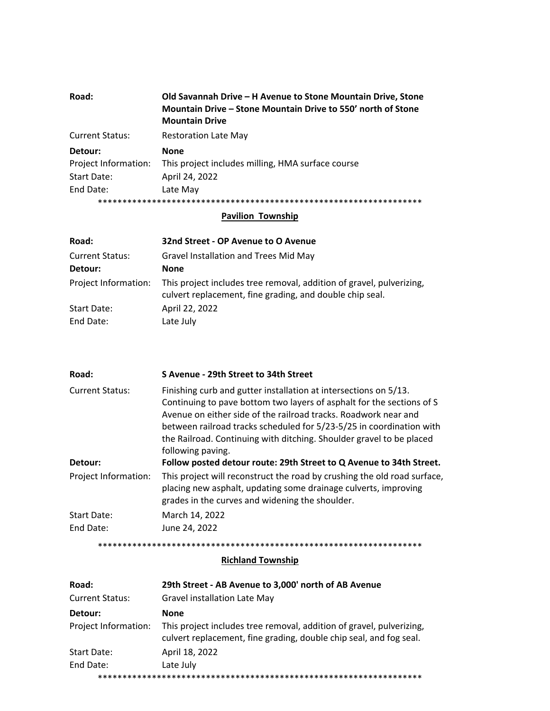| Road:                  | Old Savannah Drive – H Avenue to Stone Mountain Drive, Stone<br>Mountain Drive - Stone Mountain Drive to 550' north of Stone<br><b>Mountain Drive</b> |
|------------------------|-------------------------------------------------------------------------------------------------------------------------------------------------------|
| <b>Current Status:</b> | <b>Restoration Late May</b>                                                                                                                           |
| Detour:                | <b>None</b>                                                                                                                                           |
| Project Information:   | This project includes milling, HMA surface course                                                                                                     |
| Start Date:            | April 24, 2022                                                                                                                                        |
| End Date:              | Late May                                                                                                                                              |
|                        |                                                                                                                                                       |

### **Pavilion Township**

| Road:                  | 32nd Street - OP Avenue to O Avenue                                                                                              |
|------------------------|----------------------------------------------------------------------------------------------------------------------------------|
| <b>Current Status:</b> | Gravel Installation and Trees Mid May                                                                                            |
| Detour:                | <b>None</b>                                                                                                                      |
| Project Information:   | This project includes tree removal, addition of gravel, pulverizing,<br>culvert replacement, fine grading, and double chip seal. |
| Start Date:            | April 22, 2022                                                                                                                   |
| End Date:              | Late July                                                                                                                        |

| Road:                  | S Avenue - 29th Street to 34th Street                                                                                                                                                                                                                                                                                                                                             |
|------------------------|-----------------------------------------------------------------------------------------------------------------------------------------------------------------------------------------------------------------------------------------------------------------------------------------------------------------------------------------------------------------------------------|
| <b>Current Status:</b> | Finishing curb and gutter installation at intersections on 5/13.<br>Continuing to pave bottom two layers of asphalt for the sections of S<br>Avenue on either side of the railroad tracks. Roadwork near and<br>between railroad tracks scheduled for 5/23-5/25 in coordination with<br>the Railroad. Continuing with ditching. Shoulder gravel to be placed<br>following paving. |
| Detour:                | Follow posted detour route: 29th Street to Q Avenue to 34th Street.                                                                                                                                                                                                                                                                                                               |
| Project Information:   | This project will reconstruct the road by crushing the old road surface,<br>placing new asphalt, updating some drainage culverts, improving<br>grades in the curves and widening the shoulder.                                                                                                                                                                                    |
| Start Date:            | March 14, 2022                                                                                                                                                                                                                                                                                                                                                                    |
| End Date:              | June 24, 2022                                                                                                                                                                                                                                                                                                                                                                     |

\*\*\*\*\*\*\*\*\*\*\*\*\*\*\*\*\*\*\*\*\*\*\*\*\*\*\*\*\*\*\*\*\*\*\*\*\*\*\*\*\*\*\*\*\*\*\*\*\*\*\*\*\*\*\*\*\*\*\*\*\*\*\*\*\*\*

## **Richland Township**

| Road:                  | 29th Street - AB Avenue to 3,000' north of AB Avenue                                                                                       |
|------------------------|--------------------------------------------------------------------------------------------------------------------------------------------|
| <b>Current Status:</b> | Gravel installation Late May                                                                                                               |
| Detour:                | <b>None</b>                                                                                                                                |
| Project Information:   | This project includes tree removal, addition of gravel, pulverizing,<br>culvert replacement, fine grading, double chip seal, and fog seal. |
| Start Date:            | April 18, 2022                                                                                                                             |
| End Date:              | Late July                                                                                                                                  |
|                        |                                                                                                                                            |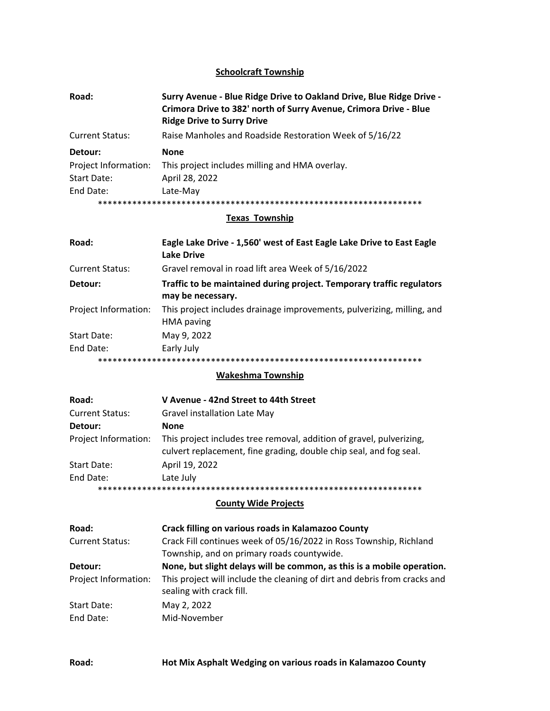### **Schoolcraft Township**

| Road:                  | Surry Avenue - Blue Ridge Drive to Oakland Drive, Blue Ridge Drive -<br>Crimora Drive to 382' north of Surry Avenue, Crimora Drive - Blue<br><b>Ridge Drive to Surry Drive</b> |
|------------------------|--------------------------------------------------------------------------------------------------------------------------------------------------------------------------------|
| <b>Current Status:</b> | Raise Manholes and Roadside Restoration Week of 5/16/22                                                                                                                        |
| Detour:                | <b>None</b>                                                                                                                                                                    |
| Project Information:   | This project includes milling and HMA overlay.                                                                                                                                 |
| Start Date:            | April 28, 2022                                                                                                                                                                 |
| End Date:              | Late-May                                                                                                                                                                       |
|                        |                                                                                                                                                                                |

## **Texas Township**

| Road:                  | Eagle Lake Drive - 1,560' west of East Eagle Lake Drive to East Eagle<br>Lake Drive        |
|------------------------|--------------------------------------------------------------------------------------------|
| <b>Current Status:</b> | Gravel removal in road lift area Week of 5/16/2022                                         |
| Detour:                | Traffic to be maintained during project. Temporary traffic regulators<br>may be necessary. |
| Project Information:   | This project includes drainage improvements, pulverizing, milling, and<br>HMA paving       |
| Start Date:            | May 9, 2022                                                                                |
| End Date:              | Early July                                                                                 |
|                        | ****************************<br>*************************                                  |

#### **Wakeshma Township**

| Road:                  | V Avenue - 42nd Street to 44th Street                                                                                                      |
|------------------------|--------------------------------------------------------------------------------------------------------------------------------------------|
| <b>Current Status:</b> | Gravel installation Late May                                                                                                               |
| Detour:                | None                                                                                                                                       |
| Project Information:   | This project includes tree removal, addition of gravel, pulverizing,<br>culvert replacement, fine grading, double chip seal, and fog seal. |
| Start Date:            | April 19, 2022                                                                                                                             |
| End Date:              | Late July                                                                                                                                  |
|                        |                                                                                                                                            |

#### **County Wide Projects**

| Road:                  | Crack filling on various roads in Kalamazoo County                                                    |
|------------------------|-------------------------------------------------------------------------------------------------------|
| <b>Current Status:</b> | Crack Fill continues week of 05/16/2022 in Ross Township, Richland                                    |
|                        | Township, and on primary roads countywide.                                                            |
| Detour:                | None, but slight delays will be common, as this is a mobile operation.                                |
| Project Information:   | This project will include the cleaning of dirt and debris from cracks and<br>sealing with crack fill. |
| Start Date:            | May 2, 2022                                                                                           |
| End Date:              | Mid-November                                                                                          |